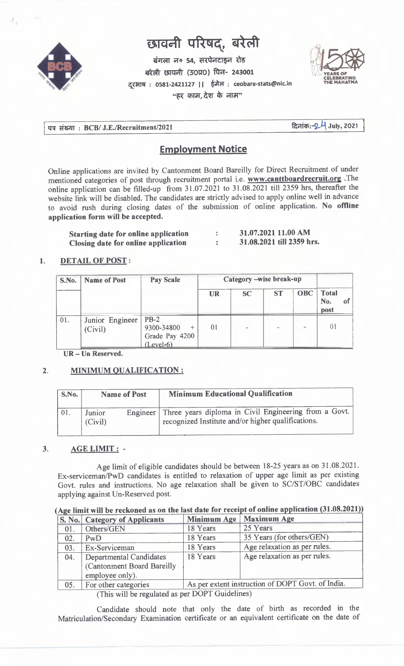

# $\overline{u}$  **substandary**  $\overline{u}$  **direct**

**kinder** 61. **H**arbert 54. **etc. El OM (30VO) 1T- 243001 : 0581-2421127 I I : ceobare-stats@nicin**  "हर काम, देश के नाम"



पत्र संख्या : BCB/ J.E./Recruitment/2021 **and Except Control of Texas Participate 1** July, 2021

# **Employment Notice**

Online applications are invited by Cantonment Board Bareilly for Direct Recruitment of under mentioned categories of post through recruitment portal i.e. **www.canttboardrecruit.org** .The online application can be filled-up from 31.07.2021 to 31.08.2021 till 2359 hrs, thereafter the website link will be disabled. The candidates are strictly advised to apply online well in advance to avoid rush during closing dates of the submission of online application. **No offline application form will be accepted.** 

| <b>Starting date for online application</b> | 31.07.2021 11.00 AM       |
|---------------------------------------------|---------------------------|
| <b>Closing date for online application</b>  | 31.08.2021 till 2359 hrs. |

# **1. DETAIL OF POST:**

| S.No. | <b>Name of Post</b>        | <b>Pay Scale</b>                                      | Category -wise break-up |           |           |            |                             |  |
|-------|----------------------------|-------------------------------------------------------|-------------------------|-----------|-----------|------------|-----------------------------|--|
|       |                            |                                                       | <b>UR</b>               | <b>SC</b> | <b>ST</b> | <b>OBC</b> | <b>Total</b><br>No.<br>post |  |
| 01.   | Junior Engineer<br>(Civil) | $PB-2$<br>9300-34800<br>Grade Pay 4200<br>$(Level-6)$ | 01                      |           |           |            | 01                          |  |

**UR — Un Reserved.** 

## **2. MINIMUM QUALIFICATION :**

employee only).

| S.No. | <b>Name of Post</b> |  | <b>Minimum Educational Qualification</b>                                                                               |
|-------|---------------------|--|------------------------------------------------------------------------------------------------------------------------|
| 01.   | Junior<br>(Civil)   |  | Engineer   Three years diploma in Civil Engineering from a Govt.<br>recognized Institute and/or higher qualifications. |

## **3. AGE LIMIT :-**

Age limit of eligible candidates should be between 18-25 years as on 31.08.2021. Ex-serviceman/PwD candidates is entitled to relaxation of upper age limit as per existing Govt. rules and instructions. No age relaxation shall be given to SC/ST/OBC candidates applying against Un-Reserved post.

|     | S. No.   Category of Applicants | <b>Minimum Age</b> | <b>Maximum Age</b>           |
|-----|---------------------------------|--------------------|------------------------------|
| 01. | Others/GEN                      | 18 Years           | 25 Years                     |
| 02. | PwD                             | 18 Years           | 35 Years (for others/GEN)    |
| 03. | Ex-Serviceman                   | 18 Years           | Age relaxation as per rules. |
| 04. | Departmental Candidates         | 18 Years           | Age relaxation as per rules. |
|     | (Cantonment Board Bareilly)     |                    |                              |

# (Age limit will be reckoned as on the last date for receipt of online application (31.08.2021))

05. For other categories As per extent instruction of DOPT Govt. of India. (This will be regulated as per DOPT Guidelines)

Candidate should note that only the date of birth as recorded in the Matriculation/Secondary Examination certificate or an equivalent certificate on the date of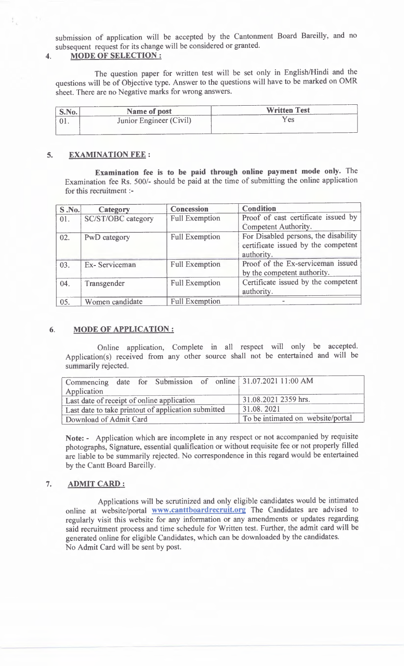submission of application will be accepted by the Cantonment Board Bareilly, and no subsequent request for its change will be considered or granted.

#### **4. MODE OF SELECTION :**

The question paper for written test will be set only in English/Hindi and the questions will be of Objective type. Answer to the questions will have to be marked on OMR sheet. There are no Negative marks for wrong answers.

| S.No.         | Name of post            | <b>Written Test</b> |
|---------------|-------------------------|---------------------|
| $\cdot$ U I . | Junior Engineer (Civil) | Yes                 |
|               |                         |                     |

## **5. EXAMINATION FEE :**

**Examination fee is to be paid through online payment mode only.** The Examination fee Rs. 500/- should be paid at the time of submitting the online application for this recruitment :-

| <b>S.No.</b> | Category                  | <b>Concession</b>     | <b>Condition</b>                                                                          |
|--------------|---------------------------|-----------------------|-------------------------------------------------------------------------------------------|
| 01.          | <b>SC/ST/OBC</b> category | <b>Full Exemption</b> | Proof of cast certificate issued by<br>Competent Authority.                               |
| 02.          | PwD category              | <b>Full Exemption</b> | For Disabled persons, the disability<br>certificate issued by the competent<br>authority. |
| 03.          | Ex-Serviceman             | <b>Full Exemption</b> | Proof of the Ex-serviceman issued<br>by the competent authority.                          |
| 04.          | Transgender               | <b>Full Exemption</b> | Certificate issued by the competent<br>authority.                                         |
| 05.          | Women candidate           | <b>Full Exemption</b> |                                                                                           |

#### **6. MODE OF APPLICATION :**

Online application, Complete in all respect will only be accepted. Application(s) received from any other source shall not be entertained and will be summarily rejected.

| Application                                         |  |  |                                   |  | Commencing date for Submission of online 31.07.2021 11:00 AM |
|-----------------------------------------------------|--|--|-----------------------------------|--|--------------------------------------------------------------|
| Last date of receipt of online application          |  |  | 31.08.2021 2359 hrs.              |  |                                                              |
| Last date to take printout of application submitted |  |  | 31.08.2021                        |  |                                                              |
| Download of Admit Card                              |  |  | To be intimated on website/portal |  |                                                              |

**Note: -** Application which are incomplete in any respect or not accompanied by requisite photographs, Signature, essential qualification or without requisite fee or not properly filled are liable to be summarily rejected. No correspondence in this regard would be entertained by the Cantt Board Bareilly.

#### **7. ADMIT CARD :**

Applications will be scrutinized and only eligible candidates would be intimated online at website/portal **www.canttboardrecruit.org** The Candidates are advised to regularly visit this website for any information or any amendments or updates regarding said recruitment process and time schedule for Written test. Further, the admit card will be generated online for eligible Candidates, which can be downloaded by the candidates. No Admit Card will be sent by post.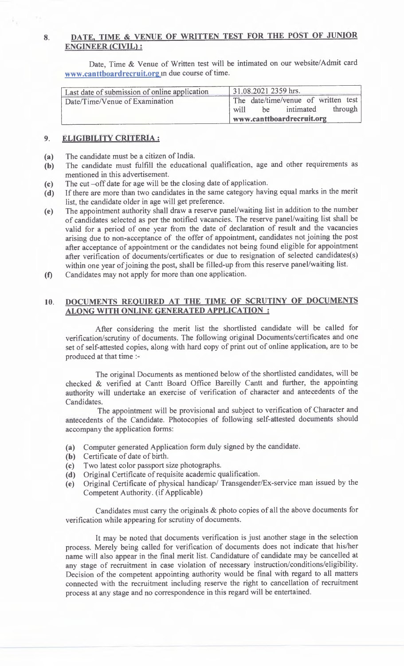# **8. DATE, TIME & VENUE OF WRITTEN TEST FOR THE POST OF JUNIOR ENGINEER (CIVIL) :**

Date, Time & Venue of Written test will be intimated on our website/Admit card **www.canttboardrecruit.org** in due course of time.

| Last date of submission of online application | 31.08.2021 2359 hrs.                |
|-----------------------------------------------|-------------------------------------|
| Date/Time/Venue of Examination                | The date/time/venue of written test |
|                                               | be intimated through<br>will        |
|                                               | www.canttboardrecruit.org           |

#### **9. ELIGIBILITY CRITERIA :**

- (a) The candidate must be a citizen of India.
- (b) The candidate must fulfill the educational qualification, age and other requirements as mentioned in this advertisement.
- (c) The cut —off date for age will be the closing date of application.
- (d) If there are more than two candidates in the same category having equal marks in the merit list, the candidate older in age will get preference.
- (e) The appointment authority shall draw a reserve panel/waiting list in addition to the number of candidates selected as per the notified vacancies. The reserve panel/waiting list shall be valid for a period of one year from the date of declaration of result and the vacancies arising due to non-acceptance of the offer of appointment, candidates not joining the post after acceptance of appointment or the candidates not being found eligible for appointment after verification of documents/certificates or due to resignation of selected candidates(s) within one year of joining the post, shall be filled-up from this reserve panel/waiting list.
- **(1)** Candidates may not apply for more than one application.

#### **10. DOCUMENTS REQUIRED AT THE TIME OF SCRUTINY OF DOCUMENTS ALONG WITH ONLINE GENERATED APPLICATION :**

After considering the merit list the shortlisted candidate will be called for verification/scrutiny of documents. The following original Documents/certificates and one set of self-attested copies, along with hard copy of print out of online application, are to be produced at that time :-

The original Documents as mentioned below of the shortlisted candidates, will be checked & verified at Cantt Board Office Bareilly Cantt and further, the appointing authority will undertake an exercise of verification of character and antecedents of the Candidates.

The appointment will be provisional and subject to verification of Character and antecedents of the Candidate. Photocopies of following self-attested documents should accompany the application forms:

- (a) Computer generated Application form duly signed by the candidate.
- (b) Certificate of date of birth.
- (c) Two latest color passport size photographs.
- (d) Original Certificate of requisite academic qualification.
- (e) Original Certificate of physical handicap/ Transgender/Ex-service man issued by the Competent Authority. (if Applicable)

Candidates must carry the originals & photo copies of all the above documents for verification while appearing for scrutiny of documents.

It may be noted that documents verification is just another stage in the selection process. Merely being called for verification of documents does not indicate that his/her name will also appear in the final merit list. Candidature of candidate may be cancelled at any stage of recruitment in case violation of necessary instruction/conditions/eligibility. Decision of the competent appointing authority would be final with regard to all matters connected with the recruitment including reserve the right to cancellation of recruitment process at any stage and no correspondence in this regard will be entertained.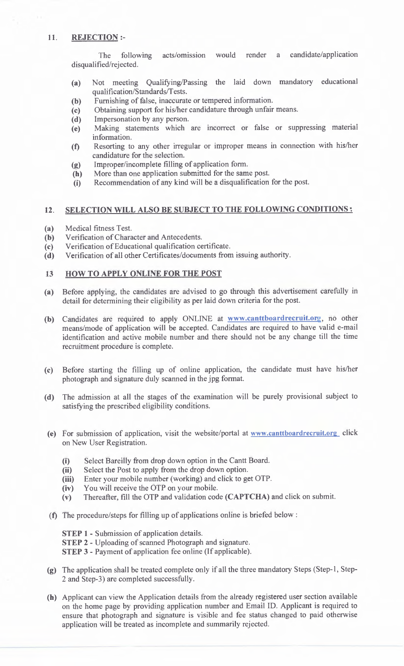#### **11. REJECTION :-**

The following acts/omission would render a candidate/application disqualified/rejected.

- (a) Not meeting Qualifying/Passing the laid down mandatory educational qualification/Standards/Tests.
- (b) Furnishing of false, inaccurate or tempered information.
- (c) Obtaining support for his/her candidature through unfair means.
- (d) Impersonation by any person.
- (e) Making statements which are incorrect or false or suppressing material information.
- (f) Resorting to any other irregular or improper means in connection with his/her candidature for the selection.
- (g) Improper/incomplete filling of application form.
- (h) More than one application submitted for the same post.
- (i) Recommendation of any kind will be a disqualification for the post.

#### **12. SELECTION WILL ALSO BE SUBJECT TO THE FOLLOWING CONDITIONS :**

- (a) Medical fitness Test.
- (b) Verification of Character and Antecedents.
- (c) Verification of Educational qualification certificate.
- (d) Verification of all other Certificates/documents from issuing authority.

#### 13 **HOW TO APPLY ONLINE FOR THE POST**

- **(a)** Before applying, the candidates are advised to go through this advertisement carefully in detail for determining their eligibility as per laid down criteria for the post.
- **(b)** Candidates are required to apply ONLINE at **www.canttboardrecruit.org,** no other means/mode of application will be accepted. Candidates are required to have valid e-mail identification and active mobile number and there should not be any change till the time recruitment procedure is complete.
- (c) Before starting the filling up of online application, the candidate must have his/her photograph and signature duly scanned in the jpg format.
- **(d)** The admission at all the stages of the examination will be purely provisional subject to satisfying the prescribed eligibility conditions.
- **(e)** For submission of application, visit the website/portal at **www.canttboardrecruit.org** click on New User Registration.
	- (i) Select Bareilly from drop down option in the Cantt Board.
	- (ii) Select the Post to apply from the drop down option.
	- (iii) Enter your mobile number (working) and click to get OTP.
	- (iv) You will receive the OTP on your mobile.
	- (v) Thereafter, fill the OTP and validation code **(CAPTCHA)** and click on submit.
- **(f)** The procedure/steps for filling up of applications online is briefed below :

**STEP 1 - Submission of application details.** 

**STEP 2 -** Uploading of scanned Photograph and signature.

**STEP 3** - Payment of application fee online (If applicable).

- (g) The application shall be treated complete only if all the three mandatory Steps (Step-1, Step-2 and Step-3) are completed successfully.
- **(h)** Applicant can view the Application details from the already registered user section available on the home page by providing application number and Email ID. Applicant is required to ensure that photograph and signature is visible and fee status changed to paid otherwise application will be treated as incomplete and summarily rejected.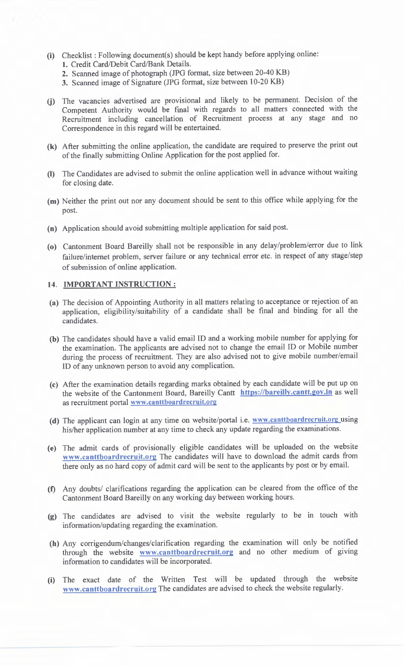- (i) Checklist : Following document(s) should be kept handy before applying online: 1. Credit Card/Debit Card/Bank Details.
	- 2. Scanned image of photograph (JPG format, size between 20-40 KB)
	- 3. Scanned image of Signature (JPG format, size between 10-20 KB)
- **(j)** The vacancies advertised are provisional and likely to be permanent. Decision of the Competent Authority would be final with regards to all matters connected with the Recruitment including cancellation of Recruitment process at any stage and no Correspondence in this regard will be entertained.
- **(k)** After submitting the online application, the candidate are required to preserve the print out of the finally submitting Online Application for the post applied for.
- The Candidates are advised to submit the online application well in advance without waiting (I) for closing date.
- (m) Neither the print out nor any document should be sent to this office while applying for the post.
- (n) Application should avoid submitting multiple application for said post.
- (o) Cantonment Board Bareilly shall not be responsible in any delay/problem/error due to link failure/internet problem, server failure or any technical error etc. in respect of any stage/step of submission of online application.

#### **14. IMPORTANT INSTRUCTION :**

- (a) The decision of Appointing Authority in all matters relating to acceptance or rejection of an application, eligibility/suitability of a candidate shall be final and binding for all the candidates.
- (b) The candidates should have a valid email ID and a working mobile number for applying for the examination. The applicants are advised not to change the email ID or Mobile number during the process of recruitment. They are also advised not to give mobile number/email ID of any unknown person to avoid any complication.
- (c) After the examination details regarding marks obtained by each candidate will be put up on the website of the Cantonment Board, Bareilly Cantt https://bareilly.cantt.gov.in as well as recruitment portal www.canttboardrecruit.org
- (d) The applicant can login at any time on website/portal i.e. www.canttboardrecruit.org using his/her application number at any time to check any update regarding the examinations.
- (e) The admit cards of provisionally eligible candidates will be uploaded on the website **www.canttboardrecruit.org** The candidates will have to download the admit cards from there only as no hard copy of admit card will be sent to the applicants by post or by email.
- **(I)** Any doubts/ clarifications regarding the application can be cleared from the office of the Cantonment Board Bareilly on any working day between working hours.
- (g) The candidates are advised to visit the website regularly to be in touch with information/updating regarding the examination.
- (h) Any corrigendum/changes/clarification regarding the examination will only be notified through the website **www.canttboardrecruit.org** and no other medium of giving information to candidates will be incorporated.
- (i) The exact date of the Written Test will be updated through the website **www.canttboardrecruit.org** The candidates are advised to check the website regularly.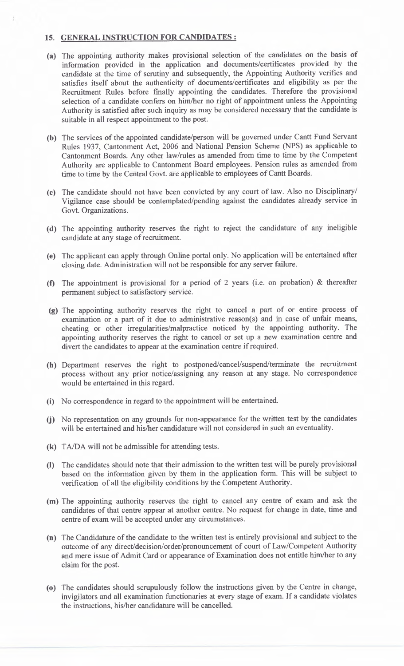#### 15. GENERAL INSTRUCTION FOR CANDIDATES :

- (a) The appointing authority makes provisional selection of the candidates on the basis of information provided in the application and documents/certificates provided by the candidate at the time of scrutiny and subsequently, the Appointing Authority verifies and satisfies itself about the authenticity of documents/certificates and eligibility as per the Recruitment Rules before finally appointing the candidates. Therefore the provisional selection of a candidate confers on him/her no right of appointment unless the Appointing Authority is satisfied after such inquiry as may be considered necessary that the candidate is suitable in all respect appointment to the post.
- (b) The services of the appointed candidate/person will be governed under Cantt Fund Servant Rules 1937, Cantonment Act, 2006 and National Pension Scheme (NPS) as applicable to Cantonment Boards. Any other law/rules as amended from time to time by the Competent Authority are applicable to Cantonment Board employees. Pension rules as amended from time to time by the Central Govt. are applicable to employees of Cantt Boards.
- (c) The candidate should not have been convicted by any court of law. Also no Disciplinary/ Vigilance case should be contemplated/pending against the candidates already service in Govt. Organizations.
- (d) The appointing authority reserves the right to reject the candidature of any ineligible candidate at any stage of recruitment.
- (e) The applicant can apply through Online portal only. No application will be entertained after closing date. Administration will not be responsible for any server failure.
- (f) The appointment is provisional for a period of 2 years (i.e. on probation) & thereafter permanent subject to satisfactory service.
- (g) The appointing authority reserves the right to cancel a part of or entire process of examination or a part of it due to administrative reason(s) and in case of unfair means, cheating or other irregularities/malpractice noticed by the appointing authority. The appointing authority reserves the right to cancel or set up a new examination centre and divert the candidates to appear at the examination centre if required.
- (h) Department reserves the right to postponed/cancel/suspend/terminate the recruitment process without any prior notice/assigning any reason at any stage. No correspondence would be entertained in this regard.
- (i) No correspondence in regard to the appointment will be entertained.
- (i) No representation on any grounds for non-appearance for the written test by the candidates will be entertained and his/her candidature will not considered in such an eventuality.
- **(k)** TA/DA will not be admissible for attending tests.
- **(I)** The candidates should note that their admission to the written test will be purely provisional based on the information given by them in the application form. This will be subject to verification of all the eligibility conditions by the Competent Authority.
- (m) The appointing authority reserves the right to cancel any centre of exam and ask the candidates of that centre appear at another centre. No request for change in date, time and centre of exam will be accepted under any circumstances.
- (n) The Candidature of the candidate to the written test is entirely provisional and subject to the outcome of any direct/decision/order/pronouncement of court of Law/Competent Authority and mere issue of Admit Card or appearance of Examination does not entitle him/her to any claim for the post.
- (o) The candidates should scrupulously follow the instructions given by the Centre in change, invigilators and all examination functionaries at every stage of exam. If a candidate violates the instructions, his/her candidature will be cancelled.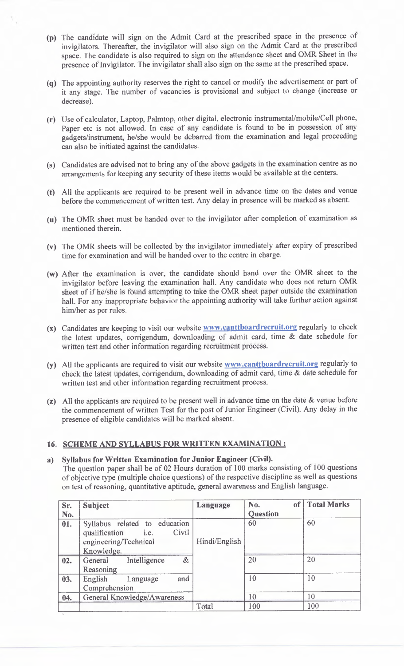- **(p)** The candidate will sign on the Admit Card at the prescribed space in the presence of invigilators. Thereafter, the invigilator will also sign on the Admit Card at the prescribed space. The candidate is also required to sign on the attendance sheet and OMR Sheet in the presence of Invigilator. The invigilator shall also sign on the same at the prescribed space.
- The appointing authority reserves the right to cancel or modify the advertisement or part of (q) it any stage. The number of vacancies is provisional and subject to change (increase or decrease).
- (r) Use of calculator, Laptop, Palmtop, other digital, electronic instrumental/mobile/Cell phone, Paper etc is not allowed. In case of any candidate is found to be in possession of any gadgets/instrument, he/she would be debarred from the examination and legal proceeding can also be initiated against the candidates.
- (s) Candidates are advised not to bring any of the above gadgets in the examination centre as no arrangements for keeping any security of these items would be available at the centers.
- (t) All the applicants are required to be present well in advance time on the dates and venue before the commencement of written test. Any delay in presence will be marked as absent.
- (u) The OMR sheet must be handed over to the invigilator after completion of examination as mentioned therein.
- (v) The OMR sheets will be collected by the invigilator immediately after expiry of prescribed time for examination and will be handed over to the centre in charge.
- (w) After the examination is over, the candidate should hand over the OMR sheet to the invigilator before leaving the examination hall. Any candidate who does not return OMR sheet of if he/she is found attempting to take the OMR sheet paper outside the examination hall. For any inappropriate behavior the appointing authority will take further action against him/her as per rules.
- (x) Candidates are keeping to visit our website **www.canttboardrecruit.org** regularly to check the latest updates, corrigendum, downloading of admit card, time & date schedule for written test and other information regarding recruitment process.
- (y) All the applicants are required to visit our website **www.canttboardrecruit.org** regularly to check the latest updates, corrigendum, downloading of admit card, time & date schedule for written test and other information regarding recruitment process.
- (z) All the applicants are required to be present well in advance time on the date  $\&$  venue before the commencement of written Test for the post of Junior Engineer (Civil). Any delay in the presence of eligible candidates will be marked absent.

# **16. SCHEME AND SYLLABUS FOR WRITTEN EXAMINATION :**

#### **a) Syllabus for Written Examination for Junior Engineer (Civil).**

The question paper shall be of 02 Hours duration of 100 marks consisting of 100 questions of objective type (multiple choice questions) of the respective discipline as well as questions on test of reasoning, quantitative aptitude, general awareness and English language.

| Sr. | <b>Subject</b>                                                                                         | Language      | of<br>No.       | <b>Total Marks</b> |
|-----|--------------------------------------------------------------------------------------------------------|---------------|-----------------|--------------------|
| No. |                                                                                                        |               | <b>Question</b> |                    |
| 01. | Syllabus related to education<br>Civil<br>qualification<br>i.e.<br>engineering/Technical<br>Knowledge. | Hindi/English | 60              | 60                 |
| 02. | $\&$<br>Intelligence<br>General<br>Reasoning                                                           |               | 20              | 20                 |
| 03. | and<br>English<br>Language<br>Comprehension                                                            |               | 10              | 10                 |
| 04. | General Knowledge/Awareness                                                                            |               | 10              | 10                 |
|     |                                                                                                        | Total         | 100             | 100                |